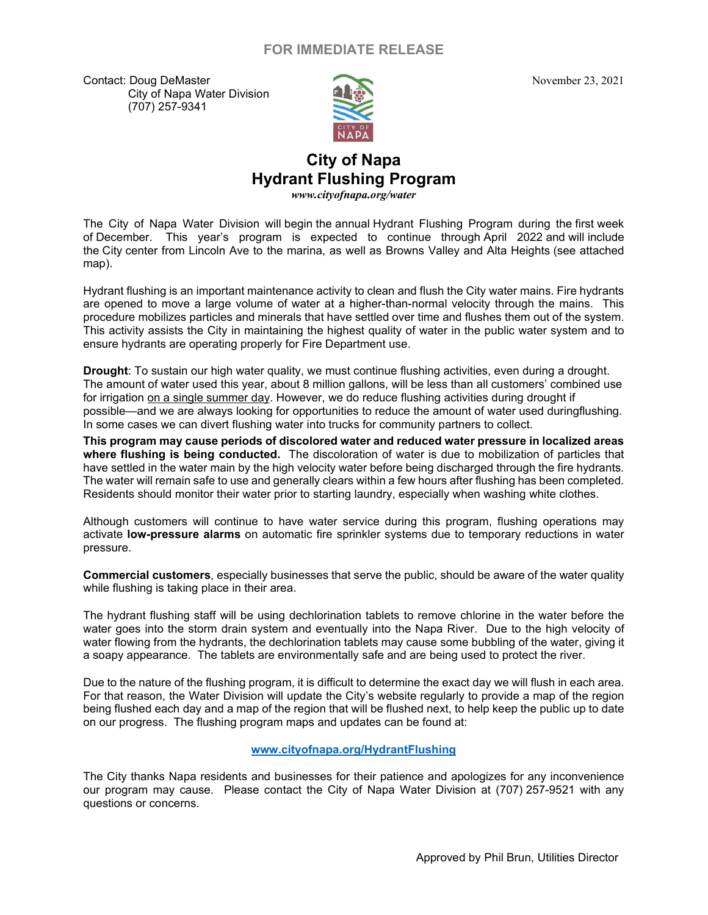## **FOR IMMEDIATE RELEASE**

Contact: Doug DeMaster November 23, 2021 City of Napa Water Division (707) 257-9341



## **City of Napa Hydrant Flushing Program**

*www.cityofnapa.org/water*

The City of Napa Water Division will begin the annual Hydrant Flushing Program during the first week of December. This year's program is expected to continue through April 2022 and will include the City center from Lincoln Ave to the marina, as well as Browns Valley and Alta Heights (see attached map).

Hydrant flushing is an important maintenance activity to clean and flush the City water mains. Fire hydrants are opened to move a large volume of water at a higher-than-normal velocity through the mains. This procedure mobilizes particles and minerals that have settled over time and flushes them out of the system. This activity assists the City in maintaining the highest quality of water in the public water system and to ensure hydrants are operating properly for Fire Department use.

 In some cases we can divert flushing water into trucks for community partners to collect. **Drought**: To sustain our high water quality, we must continue flushing activities, even during a drought. The amount of water used this year, about 8 million gallons, will be less than all customers' combined use for irrigation on a single summer day. However, we do reduce flushing activities during drought if possible—and we are always looking for opportunities to reduce the amount of water used duringflushing.

 **where flushing is being conducted.** The discoloration of water is due to mobilization of particles that **This program may cause periods of discolored water and reduced water pressure in localized areas** have settled in the water main by the high velocity water before being discharged through the fire hydrants. The water will remain safe to use and generally clears within a few hours after flushing has been completed. Residents should monitor their water prior to starting laundry, especially when washing white clothes.

Although customers will continue to have water service during this program, flushing operations may activate **low-pressure alarms** on automatic fire sprinkler systems due to temporary reductions in water pressure.

**Commercial customers**, especially businesses that serve the public, should be aware of the water quality while flushing is taking place in their area.

The hydrant flushing staff will be using dechlorination tablets to remove chlorine in the water before the water goes into the storm drain system and eventually into the Napa River. Due to the high velocity of water flowing from the hydrants, the dechlorination tablets may cause some bubbling of the water, giving it a soapy appearance. The tablets are environmentally safe and are being used to protect the river.

Due to the nature of the flushing program, it is difficult to determine the exact day we will flush in each area. For that reason, the Water Division will update the City's website regularly to provide a map of the region being flushed each day and a map of the region that will be flushed next, to help keep the public up to date on our progress. The flushing program maps and updates can be found at:

## **www.cityofnapa.org/HydrantFlushing**

The City thanks Napa residents and businesses for their patience and apologizes for any inconvenience our program may cause. Please contact the City of Napa Water Division at (707) 257-9521 with any questions or concerns.